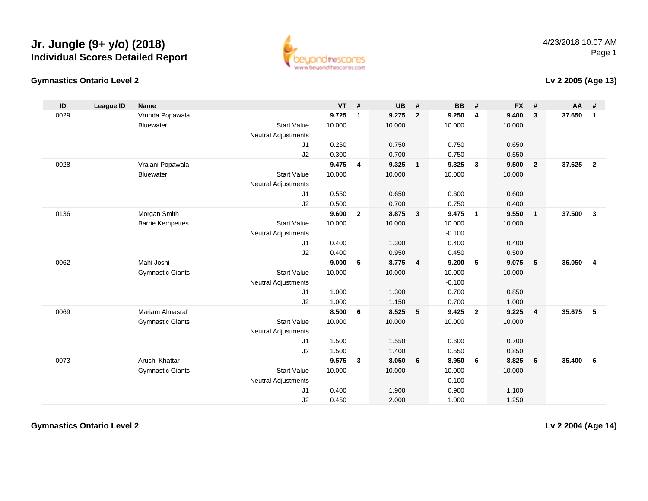

#### 4/23/2018 10:07 AMPage 1

#### **Gymnastics Ontario Level 2**

#### **Lv 2 2005 (Age 13)**

| ID   | <b>League ID</b> | <b>Name</b>             |                            | <b>VT</b> | #              | <b>UB</b> | #              | <b>BB</b> | #              | <b>FX</b> | #              | AA     | #                       |
|------|------------------|-------------------------|----------------------------|-----------|----------------|-----------|----------------|-----------|----------------|-----------|----------------|--------|-------------------------|
| 0029 |                  | Vrunda Popawala         |                            | 9.725     | 1              | 9.275     | $\overline{2}$ | 9.250     | 4              | 9.400     | $\mathbf{3}$   | 37.650 | $\mathbf{1}$            |
|      |                  | <b>Bluewater</b>        | <b>Start Value</b>         | 10.000    |                | 10.000    |                | 10.000    |                | 10.000    |                |        |                         |
|      |                  |                         | <b>Neutral Adjustments</b> |           |                |           |                |           |                |           |                |        |                         |
|      |                  |                         | J1                         | 0.250     |                | 0.750     |                | 0.750     |                | 0.650     |                |        |                         |
|      |                  |                         | J2                         | 0.300     |                | 0.700     |                | 0.750     |                | 0.550     |                |        |                         |
| 0028 |                  | Vrajani Popawala        |                            | 9.475     | 4              | 9.325     | $\mathbf{1}$   | 9.325     | $\mathbf{3}$   | 9.500     | $\overline{2}$ | 37.625 | $\overline{2}$          |
|      |                  | <b>Bluewater</b>        | <b>Start Value</b>         | 10.000    |                | 10.000    |                | 10.000    |                | 10.000    |                |        |                         |
|      |                  |                         | <b>Neutral Adjustments</b> |           |                |           |                |           |                |           |                |        |                         |
|      |                  |                         | J1                         | 0.550     |                | 0.650     |                | 0.600     |                | 0.600     |                |        |                         |
|      |                  |                         | J2                         | 0.500     |                | 0.700     |                | 0.750     |                | 0.400     |                |        |                         |
| 0136 |                  | Morgan Smith            |                            | 9.600     | $\overline{2}$ | 8.875     | 3              | 9.475     | $\overline{1}$ | 9.550     | $\overline{1}$ | 37.500 | $\overline{3}$          |
|      |                  | <b>Barrie Kempettes</b> | <b>Start Value</b>         | 10.000    |                | 10.000    |                | 10.000    |                | 10.000    |                |        |                         |
|      |                  |                         | <b>Neutral Adjustments</b> |           |                |           |                | $-0.100$  |                |           |                |        |                         |
|      |                  |                         | J1                         | 0.400     |                | 1.300     |                | 0.400     |                | 0.400     |                |        |                         |
|      |                  |                         | J2                         | 0.400     |                | 0.950     |                | 0.450     |                | 0.500     |                |        |                         |
| 0062 |                  | Mahi Joshi              |                            | 9.000     | 5              | 8.775     | $\overline{4}$ | 9.200     | 5              | 9.075     | 5              | 36.050 | $\overline{\mathbf{4}}$ |
|      |                  | <b>Gymnastic Giants</b> | <b>Start Value</b>         | 10.000    |                | 10.000    |                | 10.000    |                | 10.000    |                |        |                         |
|      |                  |                         | <b>Neutral Adjustments</b> |           |                |           |                | $-0.100$  |                |           |                |        |                         |
|      |                  |                         | J1                         | 1.000     |                | 1.300     |                | 0.700     |                | 0.850     |                |        |                         |
|      |                  |                         | J2                         | 1.000     |                | 1.150     |                | 0.700     |                | 1.000     |                |        |                         |
| 0069 |                  | <b>Mariam Almasraf</b>  |                            | 8.500     | 6              | 8.525     | 5              | 9.425     | $\overline{2}$ | 9.225     | $\overline{4}$ | 35.675 | -5                      |
|      |                  | <b>Gymnastic Giants</b> | <b>Start Value</b>         | 10.000    |                | 10.000    |                | 10.000    |                | 10.000    |                |        |                         |
|      |                  |                         | <b>Neutral Adjustments</b> |           |                |           |                |           |                |           |                |        |                         |
|      |                  |                         | J1                         | 1.500     |                | 1.550     |                | 0.600     |                | 0.700     |                |        |                         |
|      |                  |                         | J2                         | 1.500     |                | 1.400     |                | 0.550     |                | 0.850     |                |        |                         |
| 0073 |                  | Arushi Khattar          |                            | 9.575     | $\mathbf{3}$   | 8.050     | 6              | 8.950     | 6              | 8.825     | 6              | 35.400 | 6                       |
|      |                  | <b>Gymnastic Giants</b> | <b>Start Value</b>         | 10.000    |                | 10.000    |                | 10.000    |                | 10.000    |                |        |                         |
|      |                  |                         | Neutral Adjustments        |           |                |           |                | $-0.100$  |                |           |                |        |                         |
|      |                  |                         | J1                         | 0.400     |                | 1.900     |                | 0.900     |                | 1.100     |                |        |                         |
|      |                  |                         | J2                         | 0.450     |                | 2.000     |                | 1.000     |                | 1.250     |                |        |                         |

**Gymnastics Ontario Level 2**

**Lv 2 2004 (Age 14)**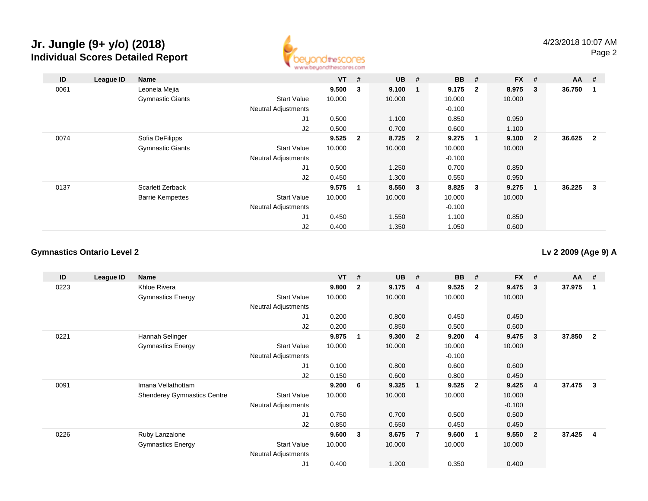

| ID   | League ID | Name                    |                            | <b>VT</b> | #            | $UB$ #  |              | <b>BB</b> | #            | <b>FX</b> | #                        | $AA$ #   |                |
|------|-----------|-------------------------|----------------------------|-----------|--------------|---------|--------------|-----------|--------------|-----------|--------------------------|----------|----------------|
| 0061 |           | Leonela Mejia           |                            | 9.500     | $\mathbf{3}$ | 9.100   | $\mathbf{1}$ | 9.175     | $\mathbf{2}$ | 8.975     | 3                        | 36.750   | $\blacksquare$ |
|      |           | <b>Gymnastic Giants</b> | <b>Start Value</b>         | 10.000    |              | 10.000  |              | 10.000    |              | 10.000    |                          |          |                |
|      |           |                         | <b>Neutral Adjustments</b> |           |              |         |              | $-0.100$  |              |           |                          |          |                |
|      |           |                         | J <sub>1</sub>             | 0.500     |              | 1.100   |              | 0.850     |              | 0.950     |                          |          |                |
|      |           |                         | J2                         | 0.500     |              | 0.700   |              | 0.600     |              | 1.100     |                          |          |                |
| 0074 |           | Sofia DeFilipps         |                            | 9.525     | $\mathbf{2}$ | 8.725 2 |              | 9.275     | 1            | 9.100     | $\overline{2}$           | 36.625 2 |                |
|      |           | <b>Gymnastic Giants</b> | <b>Start Value</b>         | 10.000    |              | 10.000  |              | 10.000    |              | 10.000    |                          |          |                |
|      |           |                         | <b>Neutral Adjustments</b> |           |              |         |              | $-0.100$  |              |           |                          |          |                |
|      |           |                         | J <sub>1</sub>             | 0.500     |              | 1.250   |              | 0.700     |              | 0.850     |                          |          |                |
|      |           |                         | J2                         | 0.450     |              | 1.300   |              | 0.550     |              | 0.950     |                          |          |                |
| 0137 |           | Scarlett Zerback        |                            | 9.575     | 1            | 8.550 3 |              | 8.825     | 3            | 9.275     | $\overline{\phantom{1}}$ | 36.225 3 |                |
|      |           | <b>Barrie Kempettes</b> | <b>Start Value</b>         | 10.000    |              | 10.000  |              | 10.000    |              | 10.000    |                          |          |                |
|      |           |                         | <b>Neutral Adjustments</b> |           |              |         |              | $-0.100$  |              |           |                          |          |                |
|      |           |                         | J <sub>1</sub>             | 0.450     |              | 1.550   |              | 1.100     |              | 0.850     |                          |          |                |
|      |           |                         | J2                         | 0.400     |              | 1.350   |              | 1.050     |              | 0.600     |                          |          |                |

### **Gymnastics Ontario Level 2**

**Lv 2 2009 (Age 9) A**

| ID   | League ID | <b>Name</b>                        |                            | <b>VT</b> | #                       | <b>UB</b> | #                       | <b>BB</b> | #              | <b>FX</b> | #              | $AA$ # |                |
|------|-----------|------------------------------------|----------------------------|-----------|-------------------------|-----------|-------------------------|-----------|----------------|-----------|----------------|--------|----------------|
| 0223 |           | Khloe Rivera                       |                            | 9.800     | $\overline{2}$          | 9.175     | -4                      | 9.525     | $\mathbf{2}$   | 9.475     | 3              | 37.975 |                |
|      |           | <b>Gymnastics Energy</b>           | <b>Start Value</b>         | 10.000    |                         | 10.000    |                         | 10.000    |                | 10.000    |                |        |                |
|      |           |                                    | Neutral Adjustments        |           |                         |           |                         |           |                |           |                |        |                |
|      |           |                                    | J <sub>1</sub>             | 0.200     |                         | 0.800     |                         | 0.450     |                | 0.450     |                |        |                |
|      |           |                                    | J2                         | 0.200     |                         | 0.850     |                         | 0.500     |                | 0.600     |                |        |                |
| 0221 |           | Hannah Selinger                    |                            | 9.875     | $\overline{\mathbf{1}}$ | 9.300     | - 2                     | 9.200     | 4              | 9.475     | 3              | 37.850 | $\overline{2}$ |
|      |           | <b>Gymnastics Energy</b>           | <b>Start Value</b>         | 10.000    |                         | 10.000    |                         | 10.000    |                | 10.000    |                |        |                |
|      |           |                                    | Neutral Adjustments        |           |                         |           |                         | $-0.100$  |                |           |                |        |                |
|      |           |                                    | J1                         | 0.100     |                         | 0.800     |                         | 0.600     |                | 0.600     |                |        |                |
|      |           |                                    | J2                         | 0.150     |                         | 0.600     |                         | 0.800     |                | 0.450     |                |        |                |
| 0091 |           | Imana Vellathottam                 |                            | 9.200     | - 6                     | 9.325     | $\overline{\mathbf{1}}$ | 9.525     | $\overline{2}$ | 9.425     | 4              | 37.475 | -3             |
|      |           | <b>Shenderey Gymnastics Centre</b> | <b>Start Value</b>         | 10.000    |                         | 10.000    |                         | 10.000    |                | 10.000    |                |        |                |
|      |           |                                    | <b>Neutral Adjustments</b> |           |                         |           |                         |           |                | $-0.100$  |                |        |                |
|      |           |                                    | J <sub>1</sub>             | 0.750     |                         | 0.700     |                         | 0.500     |                | 0.500     |                |        |                |
|      |           |                                    | J2                         | 0.850     |                         | 0.650     |                         | 0.450     |                | 0.450     |                |        |                |
| 0226 |           | Ruby Lanzalone                     |                            | 9.600     | $\mathbf{3}$            | 8.675     | -7                      | 9.600     | -1             | 9.550     | $\overline{2}$ | 37.425 | $\overline{4}$ |
|      |           | <b>Gymnastics Energy</b>           | <b>Start Value</b>         | 10.000    |                         | 10.000    |                         | 10.000    |                | 10.000    |                |        |                |
|      |           |                                    | <b>Neutral Adjustments</b> |           |                         |           |                         |           |                |           |                |        |                |
|      |           |                                    | J1                         | 0.400     |                         | 1.200     |                         | 0.350     |                | 0.400     |                |        |                |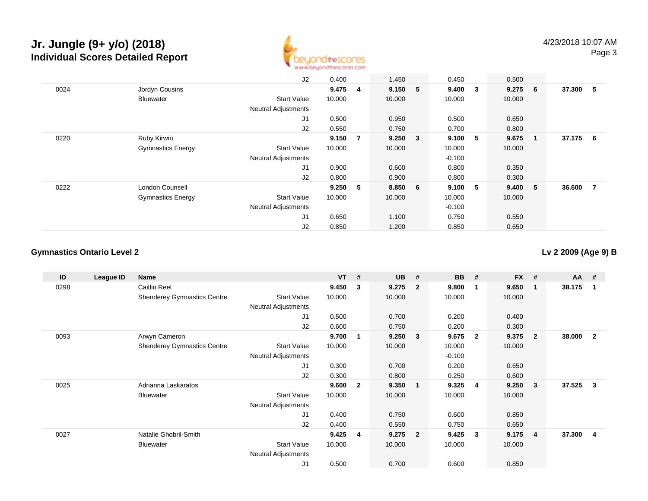

|      |                          | J2                         | 0.400  |                | 1.450   |                         | 0.450    |                         | 0.500   |                |          |                |
|------|--------------------------|----------------------------|--------|----------------|---------|-------------------------|----------|-------------------------|---------|----------------|----------|----------------|
| 0024 | Jordyn Cousins           |                            | 9.475  | $\overline{4}$ | 9.150   | 5                       | 9.400    | $\overline{\mathbf{3}}$ | 9.2756  |                | 37.300 5 |                |
|      | <b>Bluewater</b>         | <b>Start Value</b>         | 10.000 |                | 10.000  |                         | 10.000   |                         | 10.000  |                |          |                |
|      |                          | <b>Neutral Adjustments</b> |        |                |         |                         |          |                         |         |                |          |                |
|      |                          | J <sub>1</sub>             | 0.500  |                | 0.950   |                         | 0.500    |                         | 0.650   |                |          |                |
|      |                          | J2                         | 0.550  |                | 0.750   |                         | 0.700    |                         | 0.800   |                |          |                |
| 0220 | Ruby Kirwin              |                            | 9.150  | 7              | 9.250   | $\overline{\mathbf{3}}$ | 9.100    | -5                      | 9.675   | $\blacksquare$ | 37.175 6 |                |
|      | <b>Gymnastics Energy</b> | <b>Start Value</b>         | 10.000 |                | 10.000  |                         | 10.000   |                         | 10.000  |                |          |                |
|      |                          | <b>Neutral Adjustments</b> |        |                |         |                         | $-0.100$ |                         |         |                |          |                |
|      |                          | J1                         | 0.900  |                | 0.600   |                         | 0.800    |                         | 0.350   |                |          |                |
|      |                          | J2                         | 0.800  |                | 0.900   |                         | 0.800    |                         | 0.300   |                |          |                |
| 0222 | London Counsell          |                            | 9.250  | 5              | 8.850 6 |                         | 9.100    | -5                      | 9.400 5 |                | 36.600   | $\overline{7}$ |
|      | <b>Gymnastics Energy</b> | <b>Start Value</b>         | 10.000 |                | 10.000  |                         | 10.000   |                         | 10.000  |                |          |                |
|      |                          | <b>Neutral Adjustments</b> |        |                |         |                         | $-0.100$ |                         |         |                |          |                |
|      |                          | J <sub>1</sub>             | 0.650  |                | 1.100   |                         | 0.750    |                         | 0.550   |                |          |                |
|      |                          | J2                         | 0.850  |                | 1.200   |                         | 0.850    |                         | 0.650   |                |          |                |

### **Gymnastics Ontario Level 2**

**Lv 2 2009 (Age 9) B**

| ID   | League ID | <b>Name</b>                        |                            | <b>VT</b> | #              | <b>UB</b> | #                       | <b>BB</b> | #              | <b>FX</b> | #              | $AA$ # |                |
|------|-----------|------------------------------------|----------------------------|-----------|----------------|-----------|-------------------------|-----------|----------------|-----------|----------------|--------|----------------|
| 0298 |           | <b>Caitlin Reel</b>                |                            | 9.450     | 3              | 9.275     | $\overline{\mathbf{2}}$ | 9.800     | -1             | 9.650     | 1              | 38.175 | -1             |
|      |           | <b>Shenderey Gymnastics Centre</b> | <b>Start Value</b>         | 10.000    |                | 10.000    |                         | 10.000    |                | 10.000    |                |        |                |
|      |           |                                    | <b>Neutral Adjustments</b> |           |                |           |                         |           |                |           |                |        |                |
|      |           |                                    | J1                         | 0.500     |                | 0.700     |                         | 0.200     |                | 0.400     |                |        |                |
|      |           |                                    | J <sub>2</sub>             | 0.600     |                | 0.750     |                         | 0.200     |                | 0.300     |                |        |                |
| 0093 |           | Arwyn Cameron                      |                            | 9.700     | 1.             | 9.250     | $\overline{\mathbf{3}}$ | 9.675     | $\overline{2}$ | 9.375     | $\overline{2}$ | 38.000 | $\overline{2}$ |
|      |           | <b>Shenderey Gymnastics Centre</b> | <b>Start Value</b>         | 10.000    |                | 10.000    |                         | 10.000    |                | 10.000    |                |        |                |
|      |           |                                    | Neutral Adjustments        |           |                |           |                         | $-0.100$  |                |           |                |        |                |
|      |           |                                    | J1                         | 0.300     |                | 0.700     |                         | 0.200     |                | 0.650     |                |        |                |
|      |           |                                    | J <sub>2</sub>             | 0.300     |                | 0.800     |                         | 0.250     |                | 0.600     |                |        |                |
| 0025 |           | Adrianna Laskaratos                |                            | 9.600     | $\overline{2}$ | 9.350     | $\overline{1}$          | 9.325     | $\overline{4}$ | 9.250     | 3              | 37.525 | $\mathbf{3}$   |
|      |           | <b>Bluewater</b>                   | <b>Start Value</b>         | 10.000    |                | 10.000    |                         | 10.000    |                | 10.000    |                |        |                |
|      |           |                                    | <b>Neutral Adjustments</b> |           |                |           |                         |           |                |           |                |        |                |
|      |           |                                    | J <sub>1</sub>             | 0.400     |                | 0.750     |                         | 0.600     |                | 0.850     |                |        |                |
|      |           |                                    | J2                         | 0.400     |                | 0.550     |                         | 0.750     |                | 0.650     |                |        |                |
| 0027 |           | Natalie Ghobril-Smith              |                            | 9.425     | $\overline{4}$ | 9.275     | $\overline{\mathbf{2}}$ | 9.425     | 3              | 9.175     | 4              | 37.300 | 4              |
|      |           | <b>Bluewater</b>                   | <b>Start Value</b>         | 10.000    |                | 10.000    |                         | 10.000    |                | 10.000    |                |        |                |
|      |           |                                    | <b>Neutral Adjustments</b> |           |                |           |                         |           |                |           |                |        |                |
|      |           |                                    | J1                         | 0.500     |                | 0.700     |                         | 0.600     |                | 0.850     |                |        |                |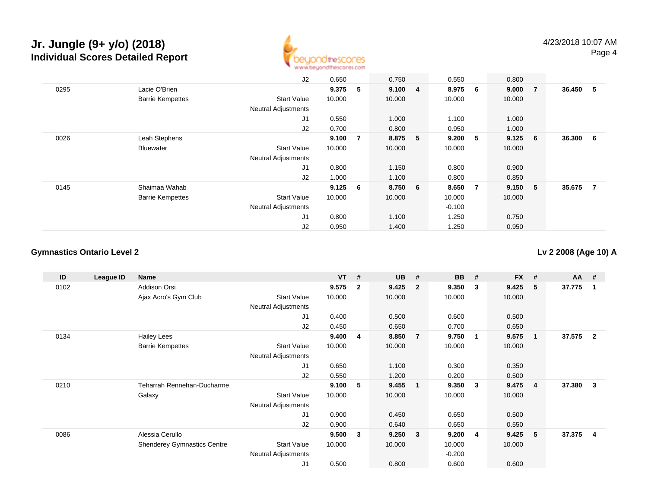

|      |                         | J2                         | 0.650  |     | 0.750   | 0.550    |   | 0.800   |   |          |                |
|------|-------------------------|----------------------------|--------|-----|---------|----------|---|---------|---|----------|----------------|
| 0295 | Lacie O'Brien           |                            | 9.375  | 5   | 9.100 4 | 8.975 6  |   | 9.0007  |   | 36.450 5 |                |
|      | <b>Barrie Kempettes</b> | <b>Start Value</b>         | 10.000 |     | 10.000  | 10.000   |   | 10.000  |   |          |                |
|      |                         | <b>Neutral Adjustments</b> |        |     |         |          |   |         |   |          |                |
|      |                         | J <sub>1</sub>             | 0.550  |     | 1.000   | 1.100    |   | 1.000   |   |          |                |
|      |                         | J2                         | 0.700  |     | 0.800   | 0.950    |   | 1.000   |   |          |                |
| 0026 | Leah Stephens           |                            | 9.100  | -7  | 8.875 5 | 9.200    | 5 | 9.125   | 6 | 36.300   | 6              |
|      | <b>Bluewater</b>        | <b>Start Value</b>         | 10.000 |     | 10.000  | 10.000   |   | 10.000  |   |          |                |
|      |                         | <b>Neutral Adjustments</b> |        |     |         |          |   |         |   |          |                |
|      |                         | J <sub>1</sub>             | 0.800  |     | 1.150   | 0.800    |   | 0.900   |   |          |                |
|      |                         | J2                         | 1.000  |     | 1.100   | 0.800    |   | 0.850   |   |          |                |
| 0145 | Shaimaa Wahab           |                            | 9.125  | - 6 | 8.750 6 | 8.650    | 7 | 9.150 5 |   | 35.675   | $\overline{7}$ |
|      | <b>Barrie Kempettes</b> | <b>Start Value</b>         | 10.000 |     | 10.000  | 10.000   |   | 10.000  |   |          |                |
|      |                         | <b>Neutral Adjustments</b> |        |     |         | $-0.100$ |   |         |   |          |                |
|      |                         | J1                         | 0.800  |     | 1.100   | 1.250    |   | 0.750   |   |          |                |
|      |                         | J2                         | 0.950  |     | 1.400   | 1.250    |   | 0.950   |   |          |                |

### **Gymnastics Ontario Level 2**

**Lv 2 2008 (Age 10) A**

| ID   | League ID | Name                               |                            | $VT$ # |                | <b>UB</b> | #                       | <b>BB</b> | #           | <b>FX</b> | #              | <b>AA</b> | - #          |
|------|-----------|------------------------------------|----------------------------|--------|----------------|-----------|-------------------------|-----------|-------------|-----------|----------------|-----------|--------------|
| 0102 |           | Addison Orsi                       |                            | 9.575  | $\overline{2}$ | 9.425     | $\overline{\mathbf{2}}$ | 9.350     | 3           | 9.425     | 5              | 37.775    | -1           |
|      |           | Ajax Acro's Gym Club               | <b>Start Value</b>         | 10.000 |                | 10.000    |                         | 10.000    |             | 10.000    |                |           |              |
|      |           |                                    | <b>Neutral Adjustments</b> |        |                |           |                         |           |             |           |                |           |              |
|      |           |                                    | J <sub>1</sub>             | 0.400  |                | 0.500     |                         | 0.600     |             | 0.500     |                |           |              |
|      |           |                                    | J <sub>2</sub>             | 0.450  |                | 0.650     |                         | 0.700     |             | 0.650     |                |           |              |
| 0134 |           | <b>Hailey Lees</b>                 |                            | 9.400  | 4              | 8.850     | $\overline{7}$          | 9.750     | $\mathbf 1$ | 9.575     | $\mathbf 1$    | 37.575    | $\mathbf{2}$ |
|      |           | <b>Barrie Kempettes</b>            | <b>Start Value</b>         | 10.000 |                | 10.000    |                         | 10.000    |             | 10.000    |                |           |              |
|      |           |                                    | Neutral Adjustments        |        |                |           |                         |           |             |           |                |           |              |
|      |           |                                    | J1                         | 0.650  |                | 1.100     |                         | 0.300     |             | 0.350     |                |           |              |
|      |           |                                    | J2                         | 0.550  |                | 1.200     |                         | 0.200     |             | 0.500     |                |           |              |
| 0210 |           | Teharrah Rennehan-Ducharme         |                            | 9.100  | 5              | 9.455     | $\overline{\mathbf{1}}$ | 9.350     | 3           | 9.475     | $\overline{4}$ | 37.380    | 3            |
|      |           | Galaxy                             | <b>Start Value</b>         | 10.000 |                | 10.000    |                         | 10.000    |             | 10.000    |                |           |              |
|      |           |                                    | <b>Neutral Adjustments</b> |        |                |           |                         |           |             |           |                |           |              |
|      |           |                                    | J1                         | 0.900  |                | 0.450     |                         | 0.650     |             | 0.500     |                |           |              |
|      |           |                                    | J <sub>2</sub>             | 0.900  |                | 0.640     |                         | 0.650     |             | 0.550     |                |           |              |
| 0086 |           | Alessia Cerullo                    |                            | 9.500  | 3              | 9.250     | $\overline{\mathbf{3}}$ | 9.200     | 4           | 9.425     | 5              | 37.375    | 4            |
|      |           | <b>Shenderey Gymnastics Centre</b> | <b>Start Value</b>         | 10.000 |                | 10.000    |                         | 10.000    |             | 10.000    |                |           |              |
|      |           |                                    | <b>Neutral Adjustments</b> |        |                |           |                         | $-0.200$  |             |           |                |           |              |
|      |           |                                    | J <sub>1</sub>             | 0.500  |                | 0.800     |                         | 0.600     |             | 0.600     |                |           |              |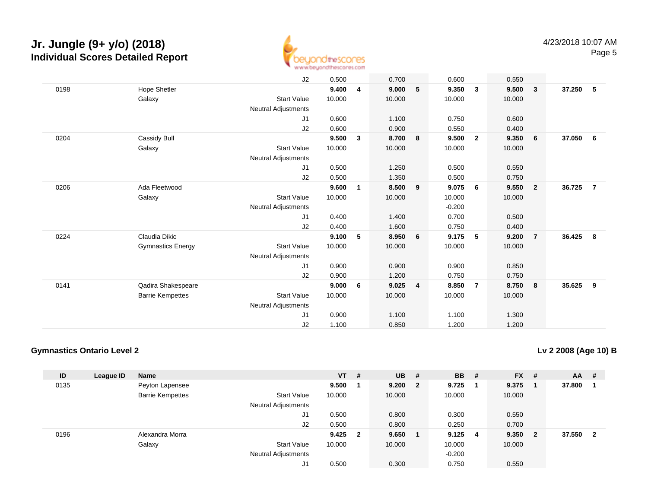

|      |                          | J2                         | 0.500  |              | 0.700  |                | 0.600    |                | 0.550  |                         |        |                |
|------|--------------------------|----------------------------|--------|--------------|--------|----------------|----------|----------------|--------|-------------------------|--------|----------------|
| 0198 | <b>Hope Shetler</b>      |                            | 9.400  | 4            | 9.000  | 5              | 9.350    | $\mathbf{3}$   | 9.500  | $\overline{\mathbf{3}}$ | 37.250 | 5              |
|      | Galaxy                   | <b>Start Value</b>         | 10.000 |              | 10.000 |                | 10.000   |                | 10.000 |                         |        |                |
|      |                          | Neutral Adjustments        |        |              |        |                |          |                |        |                         |        |                |
|      |                          | J1                         | 0.600  |              | 1.100  |                | 0.750    |                | 0.600  |                         |        |                |
|      |                          | J2                         | 0.600  |              | 0.900  |                | 0.550    |                | 0.400  |                         |        |                |
| 0204 | Cassidy Bull             |                            | 9.500  | 3            | 8.700  | 8              | 9.500    | $\overline{2}$ | 9.350  | - 6                     | 37.050 | 6              |
|      | Galaxy                   | <b>Start Value</b>         | 10.000 |              | 10.000 |                | 10.000   |                | 10.000 |                         |        |                |
|      |                          | Neutral Adjustments        |        |              |        |                |          |                |        |                         |        |                |
|      |                          |                            |        |              |        |                |          |                |        |                         |        |                |
|      |                          | J1                         | 0.500  |              | 1.250  |                | 0.500    |                | 0.550  |                         |        |                |
|      |                          | J2                         | 0.500  |              | 1.350  |                | 0.500    |                | 0.750  |                         |        |                |
| 0206 | Ada Fleetwood            |                            | 9.600  | $\mathbf{1}$ | 8.500  | 9              | 9.075    | 6              | 9.550  | $\overline{\mathbf{2}}$ | 36.725 | $\overline{7}$ |
|      | Galaxy                   | <b>Start Value</b>         | 10.000 |              | 10.000 |                | 10.000   |                | 10.000 |                         |        |                |
|      |                          | <b>Neutral Adjustments</b> |        |              |        |                | $-0.200$ |                |        |                         |        |                |
|      |                          | J1                         | 0.400  |              | 1.400  |                | 0.700    |                | 0.500  |                         |        |                |
|      |                          | J2                         | 0.400  |              | 1.600  |                | 0.750    |                | 0.400  |                         |        |                |
| 0224 | Claudia Dikic            |                            | 9.100  | 5            | 8.950  | 6              | 9.175    | 5              | 9.200  | $\overline{7}$          | 36.425 | - 8            |
|      | <b>Gymnastics Energy</b> | <b>Start Value</b>         | 10.000 |              | 10.000 |                | 10.000   |                | 10.000 |                         |        |                |
|      |                          | <b>Neutral Adjustments</b> |        |              |        |                |          |                |        |                         |        |                |
|      |                          | J1                         | 0.900  |              | 0.900  |                | 0.900    |                | 0.850  |                         |        |                |
|      |                          | J2                         | 0.900  |              | 1.200  |                | 0.750    |                | 0.750  |                         |        |                |
| 0141 | Qadira Shakespeare       |                            | 9.000  | 6            | 9.025  | $\overline{4}$ | 8.850    | $\overline{7}$ | 8.750  | $\bf{8}$                | 35.625 | 9              |
|      |                          |                            |        |              |        |                |          |                |        |                         |        |                |
|      | <b>Barrie Kempettes</b>  | <b>Start Value</b>         | 10.000 |              | 10.000 |                | 10.000   |                | 10.000 |                         |        |                |
|      |                          | Neutral Adjustments        |        |              |        |                |          |                |        |                         |        |                |
|      |                          | J1                         | 0.900  |              | 1.100  |                | 1.100    |                | 1.300  |                         |        |                |
|      |                          | J <sub>2</sub>             | 1.100  |              | 0.850  |                | 1.200    |                | 1.200  |                         |        |                |

### **Gymnastics Ontario Level 2**

**Lv 2 2008 (Age 10) B**

| ID   | League ID | <b>Name</b>             |                            | $VT$ #    | <b>UB</b> | - #                     | <b>BB</b> | #   | <b>FX</b> | #                       | <b>AA</b> | #              |
|------|-----------|-------------------------|----------------------------|-----------|-----------|-------------------------|-----------|-----|-----------|-------------------------|-----------|----------------|
| 0135 |           | Peyton Lapensee         |                            | 9.500     | 9.200     | $\overline{\mathbf{2}}$ | 9.725     |     | 9.375     |                         | 37,800    |                |
|      |           | <b>Barrie Kempettes</b> | <b>Start Value</b>         | 10.000    | 10.000    |                         | 10.000    |     | 10.000    |                         |           |                |
|      |           |                         | <b>Neutral Adjustments</b> |           |           |                         |           |     |           |                         |           |                |
|      |           |                         | J1                         | 0.500     | 0.800     |                         | 0.300     |     | 0.550     |                         |           |                |
|      |           |                         | J2                         | 0.500     | 0.800     |                         | 0.250     |     | 0.700     |                         |           |                |
| 0196 |           | Alexandra Morra         |                            | $9.425$ 2 | 9.650     |                         | 9.125     | - 4 | 9.350     | $\overline{\mathbf{2}}$ | 37.550    | $\overline{2}$ |
|      |           | Galaxy                  | <b>Start Value</b>         | 10.000    | 10.000    |                         | 10.000    |     | 10.000    |                         |           |                |
|      |           |                         | <b>Neutral Adjustments</b> |           |           |                         | $-0.200$  |     |           |                         |           |                |
|      |           |                         | J1                         | 0.500     | 0.300     |                         | 0.750     |     | 0.550     |                         |           |                |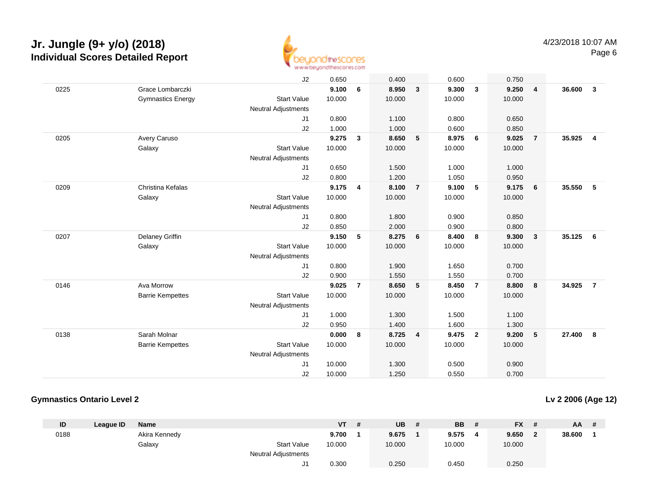

|      |                          | J2                         | 0.650  |                | 0.400  |                | 0.600  |                | 0.750  |                |        |                |
|------|--------------------------|----------------------------|--------|----------------|--------|----------------|--------|----------------|--------|----------------|--------|----------------|
| 0225 | Grace Lombarczki         |                            | 9.100  | 6              | 8.950  | $\mathbf{3}$   | 9.300  | $\mathbf{3}$   | 9.250  | $\overline{4}$ | 36.600 | 3              |
|      | <b>Gymnastics Energy</b> | <b>Start Value</b>         | 10.000 |                | 10.000 |                | 10.000 |                | 10.000 |                |        |                |
|      |                          | <b>Neutral Adjustments</b> |        |                |        |                |        |                |        |                |        |                |
|      |                          | J1                         | 0.800  |                | 1.100  |                | 0.800  |                | 0.650  |                |        |                |
|      |                          | J2                         | 1.000  |                | 1.000  |                | 0.600  |                | 0.850  |                |        |                |
| 0205 | Avery Caruso             |                            | 9.275  | 3              | 8.650  | 5              | 8.975  | 6              | 9.025  | $\overline{7}$ | 35.925 | $\overline{4}$ |
|      | Galaxy                   | <b>Start Value</b>         | 10.000 |                | 10.000 |                | 10.000 |                | 10.000 |                |        |                |
|      |                          | <b>Neutral Adjustments</b> |        |                |        |                |        |                |        |                |        |                |
|      |                          | J1                         | 0.650  |                | 1.500  |                | 1.000  |                | 1.000  |                |        |                |
|      |                          | J2                         | 0.800  |                | 1.200  |                | 1.050  |                | 0.950  |                |        |                |
| 0209 | Christina Kefalas        |                            | 9.175  | 4              | 8.100  | $\overline{7}$ | 9.100  | 5              | 9.175  | - 6            | 35.550 | 5              |
|      | Galaxy                   | <b>Start Value</b>         | 10.000 |                | 10.000 |                | 10.000 |                | 10.000 |                |        |                |
|      |                          | <b>Neutral Adjustments</b> |        |                |        |                |        |                |        |                |        |                |
|      |                          | J1                         | 0.800  |                | 1.800  |                | 0.900  |                | 0.850  |                |        |                |
|      |                          | J2                         | 0.850  |                | 2.000  |                | 0.900  |                | 0.800  |                |        |                |
| 0207 | Delaney Griffin          |                            | 9.150  | 5              | 8.275  | 6              | 8.400  | 8              | 9.300  | $\mathbf{3}$   | 35.125 | - 6            |
|      | Galaxy                   | <b>Start Value</b>         | 10.000 |                | 10.000 |                | 10.000 |                | 10.000 |                |        |                |
|      |                          | <b>Neutral Adjustments</b> |        |                |        |                |        |                |        |                |        |                |
|      |                          | J1                         | 0.800  |                | 1.900  |                | 1.650  |                | 0.700  |                |        |                |
|      |                          | J2                         | 0.900  |                | 1.550  |                | 1.550  |                | 0.700  |                |        |                |
| 0146 | Ava Morrow               |                            | 9.025  | $\overline{7}$ | 8.650  | 5              | 8.450  | $\overline{7}$ | 8.800  | 8              | 34.925 | $\overline{7}$ |
|      | <b>Barrie Kempettes</b>  | <b>Start Value</b>         | 10.000 |                | 10.000 |                | 10.000 |                | 10.000 |                |        |                |
|      |                          | <b>Neutral Adjustments</b> |        |                |        |                |        |                |        |                |        |                |
|      |                          | J1                         | 1.000  |                | 1.300  |                | 1.500  |                | 1.100  |                |        |                |
|      |                          | J2                         | 0.950  |                | 1.400  |                | 1.600  |                | 1.300  |                |        |                |
| 0138 | Sarah Molnar             |                            | 0.000  | 8              | 8.725  | 4              | 9.475  | $\overline{2}$ | 9.200  | $5\phantom{1}$ | 27.400 | 8              |
|      | <b>Barrie Kempettes</b>  | <b>Start Value</b>         | 10.000 |                | 10.000 |                | 10.000 |                | 10.000 |                |        |                |
|      |                          | Neutral Adjustments        |        |                |        |                |        |                |        |                |        |                |
|      |                          | J <sub>1</sub>             | 10.000 |                | 1.300  |                | 0.500  |                | 0.900  |                |        |                |
|      |                          | J2                         | 10.000 |                | 1.250  |                | 0.550  |                | 0.700  |                |        |                |
|      |                          |                            |        |                |        |                |        |                |        |                |        |                |

### **Gymnastics Ontario Level 2**

**Lv 2 2006 (Age 12)**

| ID   | League ID | <b>Name</b>   |                            | VT     | UB     | <b>BB</b> | <b>FX</b><br>- # | <b>AA</b> | -# |
|------|-----------|---------------|----------------------------|--------|--------|-----------|------------------|-----------|----|
| 0188 |           | Akira Kennedy |                            | 9.700  | 9.675  | 9.575     | 9.650<br>- 20    | 38.600    |    |
|      |           | Galaxy        | <b>Start Value</b>         | 10.000 | 10.000 | 10.000    | 10.000           |           |    |
|      |           |               | <b>Neutral Adjustments</b> |        |        |           |                  |           |    |
|      |           |               |                            | 0.300  | 0.250  | 0.450     | 0.250            |           |    |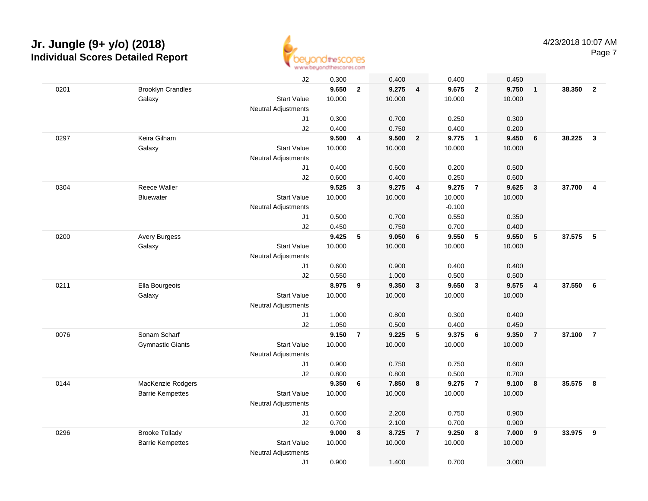

|      |                          | J2                         | 0.300  |                | 0.400  |                | 0.400    |                         | 0.450  |                |        |                         |
|------|--------------------------|----------------------------|--------|----------------|--------|----------------|----------|-------------------------|--------|----------------|--------|-------------------------|
| 0201 | <b>Brooklyn Crandles</b> |                            | 9.650  | $\mathbf{2}$   | 9.275  | $\overline{4}$ | 9.675    | $\overline{\mathbf{2}}$ | 9.750  | $\overline{1}$ | 38.350 | $\overline{\mathbf{2}}$ |
|      | Galaxy                   | <b>Start Value</b>         | 10.000 |                | 10.000 |                | 10.000   |                         | 10.000 |                |        |                         |
|      |                          | Neutral Adjustments        |        |                |        |                |          |                         |        |                |        |                         |
|      |                          | J1                         | 0.300  |                | 0.700  |                | 0.250    |                         | 0.300  |                |        |                         |
|      |                          | J2                         | 0.400  |                | 0.750  |                | 0.400    |                         | 0.200  |                |        |                         |
| 0297 | Keira Gilham             |                            | 9.500  | 4              | 9.500  | $\overline{2}$ | 9.775    | $\overline{1}$          | 9.450  | 6              | 38.225 | $\overline{3}$          |
|      | Galaxy                   | <b>Start Value</b>         | 10.000 |                | 10.000 |                | 10.000   |                         | 10.000 |                |        |                         |
|      |                          | Neutral Adjustments        |        |                |        |                |          |                         |        |                |        |                         |
|      |                          | J1                         | 0.400  |                | 0.600  |                | 0.200    |                         | 0.500  |                |        |                         |
|      |                          | J2                         | 0.600  |                | 0.400  |                | 0.250    |                         | 0.600  |                |        |                         |
| 0304 | <b>Reece Waller</b>      |                            | 9.525  | 3              | 9.275  | 4              | 9.275    | $\overline{7}$          | 9.625  | $\mathbf{3}$   | 37.700 | $\overline{4}$          |
|      | <b>Bluewater</b>         | <b>Start Value</b>         | 10.000 |                | 10.000 |                | 10.000   |                         | 10.000 |                |        |                         |
|      |                          | <b>Neutral Adjustments</b> |        |                |        |                | $-0.100$ |                         |        |                |        |                         |
|      |                          | J1                         | 0.500  |                | 0.700  |                | 0.550    |                         | 0.350  |                |        |                         |
|      |                          | J2                         | 0.450  |                | 0.750  |                | 0.700    |                         | 0.400  |                |        |                         |
| 0200 | <b>Avery Burgess</b>     |                            | 9.425  | 5              | 9.050  | 6              | 9.550    | 5                       | 9.550  | $\sqrt{5}$     | 37.575 | 5                       |
|      | Galaxy                   | <b>Start Value</b>         | 10.000 |                | 10.000 |                | 10.000   |                         | 10.000 |                |        |                         |
|      |                          | Neutral Adjustments        |        |                |        |                |          |                         |        |                |        |                         |
|      |                          | J1                         | 0.600  |                | 0.900  |                | 0.400    |                         | 0.400  |                |        |                         |
|      |                          | J2                         | 0.550  |                | 1.000  |                | 0.500    |                         | 0.500  |                |        |                         |
| 0211 | Ella Bourgeois           |                            | 8.975  | 9              | 9.350  | $\mathbf{3}$   | 9.650    | $\mathbf{3}$            | 9.575  | $\overline{4}$ | 37.550 | 6                       |
|      | Galaxy                   | <b>Start Value</b>         | 10.000 |                | 10.000 |                | 10.000   |                         | 10.000 |                |        |                         |
|      |                          | Neutral Adjustments        |        |                |        |                |          |                         |        |                |        |                         |
|      |                          | J1                         | 1.000  |                | 0.800  |                | 0.300    |                         | 0.400  |                |        |                         |
|      |                          | J2                         | 1.050  |                | 0.500  |                | 0.400    |                         | 0.450  |                |        |                         |
| 0076 | Sonam Scharf             |                            | 9.150  | $\overline{7}$ | 9.225  | 5              | 9.375    | 6                       | 9.350  | $\overline{7}$ | 37.100 | $\overline{7}$          |
|      | <b>Gymnastic Giants</b>  | <b>Start Value</b>         | 10.000 |                | 10.000 |                | 10.000   |                         | 10.000 |                |        |                         |
|      |                          | Neutral Adjustments        |        |                |        |                |          |                         |        |                |        |                         |
|      |                          | J1                         | 0.900  |                | 0.750  |                | 0.750    |                         | 0.600  |                |        |                         |
|      |                          | J2                         | 0.800  |                | 0.800  |                | 0.500    |                         | 0.700  |                |        |                         |
| 0144 | MacKenzie Rodgers        |                            | 9.350  | 6              | 7.850  | $\bf{8}$       | 9.275    | $\overline{7}$          | 9.100  | 8              | 35.575 | 8                       |
|      | <b>Barrie Kempettes</b>  | <b>Start Value</b>         | 10.000 |                | 10.000 |                | 10.000   |                         | 10.000 |                |        |                         |
|      |                          | <b>Neutral Adjustments</b> |        |                |        |                |          |                         |        |                |        |                         |
|      |                          | J1                         | 0.600  |                | 2.200  |                | 0.750    |                         | 0.900  |                |        |                         |
|      |                          | J2                         | 0.700  |                | 2.100  |                | 0.700    |                         | 0.900  |                |        |                         |
| 0296 | <b>Brooke Tollady</b>    |                            | 9.000  | 8              | 8.725  | $\overline{7}$ | 9.250    | 8                       | 7.000  | 9              | 33.975 | 9                       |
|      | <b>Barrie Kempettes</b>  | <b>Start Value</b>         | 10.000 |                | 10.000 |                | 10.000   |                         | 10.000 |                |        |                         |
|      |                          | <b>Neutral Adjustments</b> |        |                |        |                |          |                         |        |                |        |                         |
|      |                          | J1                         | 0.900  |                | 1.400  |                | 0.700    |                         | 3.000  |                |        |                         |
|      |                          |                            |        |                |        |                |          |                         |        |                |        |                         |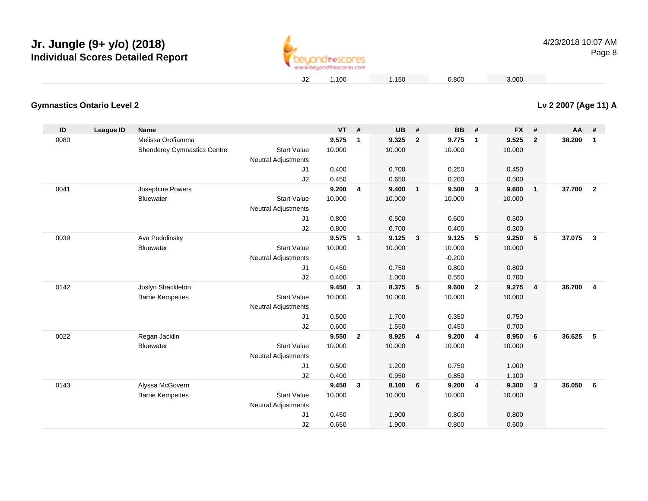

**Lv 2 2007 (Age 11) A**

### **Gymnastics Ontario Level 2**

| ID   | <b>League ID</b> | <b>Name</b>                        |                            | VT     | #            | <b>UB</b> | #                       | <b>BB</b> | #              | <b>FX</b> | #              | $AA$ # |                 |
|------|------------------|------------------------------------|----------------------------|--------|--------------|-----------|-------------------------|-----------|----------------|-----------|----------------|--------|-----------------|
| 0080 |                  | Melissa Orofiamma                  |                            | 9.575  | $\mathbf{1}$ | 9.325     | $\overline{2}$          | 9.775     | $\mathbf{1}$   | 9.525     | $\overline{2}$ | 38.200 | $\mathbf{1}$    |
|      |                  | <b>Shenderey Gymnastics Centre</b> | <b>Start Value</b>         | 10.000 |              | 10.000    |                         | 10.000    |                | 10.000    |                |        |                 |
|      |                  |                                    | <b>Neutral Adjustments</b> |        |              |           |                         |           |                |           |                |        |                 |
|      |                  |                                    | J1                         | 0.400  |              | 0.700     |                         | 0.250     |                | 0.450     |                |        |                 |
|      |                  |                                    | J2                         | 0.450  |              | 0.650     |                         | 0.200     |                | 0.500     |                |        |                 |
| 0041 |                  | Josephine Powers                   |                            | 9.200  | 4            | 9.400     | $\overline{1}$          | 9.500     | $\mathbf{3}$   | 9.600     | $\mathbf{1}$   | 37.700 | $\overline{2}$  |
|      |                  | Bluewater                          | <b>Start Value</b>         | 10.000 |              | 10.000    |                         | 10.000    |                | 10.000    |                |        |                 |
|      |                  |                                    | <b>Neutral Adjustments</b> |        |              |           |                         |           |                |           |                |        |                 |
|      |                  |                                    | J1                         | 0.800  |              | 0.500     |                         | 0.600     |                | 0.500     |                |        |                 |
|      |                  |                                    | J2                         | 0.800  |              | 0.700     |                         | 0.400     |                | 0.300     |                |        |                 |
| 0039 |                  | Ava Podolinsky                     |                            | 9.575  | $\mathbf{1}$ | 9.125     | $\overline{\mathbf{3}}$ | 9.125     | 5              | 9.250     | 5              | 37.075 | $\mathbf{3}$    |
|      |                  | <b>Bluewater</b>                   | <b>Start Value</b>         | 10.000 |              | 10.000    |                         | 10.000    |                | 10.000    |                |        |                 |
|      |                  |                                    | <b>Neutral Adjustments</b> |        |              |           |                         | $-0.200$  |                |           |                |        |                 |
|      |                  |                                    | J1                         | 0.450  |              | 0.750     |                         | 0.800     |                | 0.800     |                |        |                 |
|      |                  |                                    | J2                         | 0.400  |              | 1.000     |                         | 0.550     |                | 0.700     |                |        |                 |
| 0142 |                  | Joslyn Shackleton                  |                            | 9.450  | $\mathbf{3}$ | 8.375     | 5                       | 9.600     | $\overline{2}$ | 9.275     | 4              | 36.700 | $\overline{4}$  |
|      |                  | <b>Barrie Kempettes</b>            | <b>Start Value</b>         | 10.000 |              | 10.000    |                         | 10.000    |                | 10.000    |                |        |                 |
|      |                  |                                    | <b>Neutral Adjustments</b> |        |              |           |                         |           |                |           |                |        |                 |
|      |                  |                                    | J1                         | 0.500  |              | 1.700     |                         | 0.350     |                | 0.750     |                |        |                 |
|      |                  |                                    | J2                         | 0.600  |              | 1.550     |                         | 0.450     |                | 0.700     |                |        |                 |
| 0022 |                  | Regan Jacklin                      |                            | 9.550  | $\mathbf{2}$ | 8.925     | $\overline{4}$          | 9.200     | $\overline{4}$ | 8.950     | 6              | 36.625 | $5\phantom{.0}$ |
|      |                  | <b>Bluewater</b>                   | <b>Start Value</b>         | 10.000 |              | 10.000    |                         | 10.000    |                | 10.000    |                |        |                 |
|      |                  |                                    | <b>Neutral Adjustments</b> |        |              |           |                         |           |                |           |                |        |                 |
|      |                  |                                    | J1                         | 0.500  |              | 1.200     |                         | 0.750     |                | 1.000     |                |        |                 |
|      |                  |                                    | J2                         | 0.400  |              | 0.950     |                         | 0.850     |                | 1.100     |                |        |                 |
| 0143 |                  | Alyssa McGovern                    |                            | 9.450  | 3            | 8.100     | 6                       | 9.200     | $\overline{4}$ | 9.300     | $\mathbf{3}$   | 36.050 | 6               |
|      |                  | <b>Barrie Kempettes</b>            | <b>Start Value</b>         | 10.000 |              | 10.000    |                         | 10.000    |                | 10.000    |                |        |                 |
|      |                  |                                    | <b>Neutral Adjustments</b> |        |              |           |                         |           |                |           |                |        |                 |
|      |                  |                                    | J1                         | 0.450  |              | 1.900     |                         | 0.800     |                | 0.800     |                |        |                 |
|      |                  |                                    | J2                         | 0.650  |              | 1.900     |                         | 0.800     |                | 0.600     |                |        |                 |